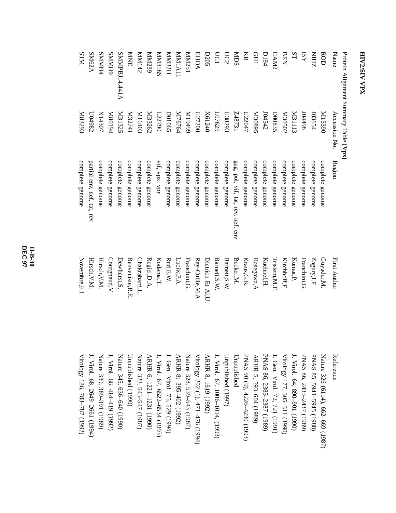| Protein Alignment Summary Table (Vpx) |                     |                                   |                           |                                   |
|---------------------------------------|---------------------|-----------------------------------|---------------------------|-----------------------------------|
| Name                                  | Accession No        | Region                            | First Author              | Reference                         |
| ROD                                   | 068SIM              | complete genome                   | Guyader,M.                | Nature 326 (6114), 662–669 (1987) |
| <b>ZHIN</b>                           | 103654              | complete genome                   | Zagury, J.F.              | PNAS 85, 5941-5945 (1988)         |
| $\overline{\text{K}}\text{N}$         | 86t <sub>t</sub> 0f | complete genome                   | Franchini, G              | PNAS 86, 2433-2437 (1989)         |
| ST                                    | <b>M31113</b>       | complete genome                   | Kumar, P.                 | J. Virol. 64, 890-901 (1990)      |
| <b>BEN</b>                            | <b>M30502</b>       | complete genome                   | Kirchhoff,F               | Virology 177, 305-311 (1990)      |
| CAM2                                  | D00835              | complete genome                   | Tristem, M.F.             | J. Gen. Virol. 72, 721 (1991)     |
| <b>D194</b>                           | 104542              | complete genome                   | Kuehnel, H.               | PNAS 86, 2383-2387 (1989)         |
| <b>CHI</b>                            | S680 <sub>3</sub>   | complete genome                   | Hasegawa, A               | ARHR 5, 593-604 (1989)            |
| KR                                    | L72047              | complete genome                   | Kraus, G.K.               | PNAS 90 (9), 4226-4230 (1993)     |
| SCIM                                  | IEL84Z              | gag, pol, vif, tat, rev, nef, env | Becker, M.                | Unpublished                       |
| UC2                                   | C628203             | complete genome                   | Barnett, S.W.             | Unpublished (1997)                |
| <b>UC1</b>                            | L07625              | complete genome                   | Barnett, S.W.             | I. Virol. 67, 1006–1014, (1993)   |
| <b>D205</b>                           | X61240              | complete genome                   | Dietrich Et Al,U          | ARHR 8, 1619 (1992)               |
| <b>EHOA</b>                           | 027200              | complete genome                   | Rey-Cuille, M.A           | Virology 202 (1), 471-476 (1994)  |
| ISZNNN                                | 66t6 IM             | complete genome                   | Franchini, G.             | Nature 328, 539–543 (1987)        |
| <b>MMIA11</b>                         | M76764              | complete genome                   | Luciw,P.A.                | ARHR 8: 395-402 (1992)            |
| H <sub>2</sub> SMM                    | <b>DO1065</b>       | complete genome                   | $\operatorname{Rud,E.W.}$ | J. Gen. Virol. 75, 529 (1994)     |
| <b>MM316S</b>                         | 122790              | vif, vpx, vpr                     | Kodama,T.                 | J. Virol. 67, 6522-6534 (1993)    |
| MM239                                 | M33262              | complete genome                   | Regier, D.A.              | ARHR 6, 1221-1231 (1990)          |
| Z <sup>t</sup> IMM                    | K16403              | complete genome                   | Chakrabarti,L.            | Nature 328, 543-547 (1987)        |
| <b>NNE</b>                            | It <sub>12741</sub> | complete genome                   | Benveniste, R.E.          | Unpublished (1990)                |
| SMMPBJ14.441A                         | <b>N31325</b>       | complete genome                   | Dewhurst, S.              | Nature 345, 636-640 (1990)        |
| <b>GHWWS</b>                          | P6108M              | complete genome                   | Courgnaud, V.             | J. Virol. 66, 414–419 (1992)      |
| <b>SMMH4</b>                          | X14307              | complete genome                   | Hirsch, V.M.              | Nature 339, 389–391 (1989)        |
| SM62A                                 | C86700              | partial env, nef, tat, rev        | Hirsch, V.M.              | J. Virol. 68, 2649-2661 (1994)    |
| <b>NLIS</b>                           | K83293              | complete genome                   | Novembre,F.J              | Virology 186, 783–787 (1992)      |

**DEC 97 II-B-30**

## **HIV2/SIVEIV2/SIV VPX**